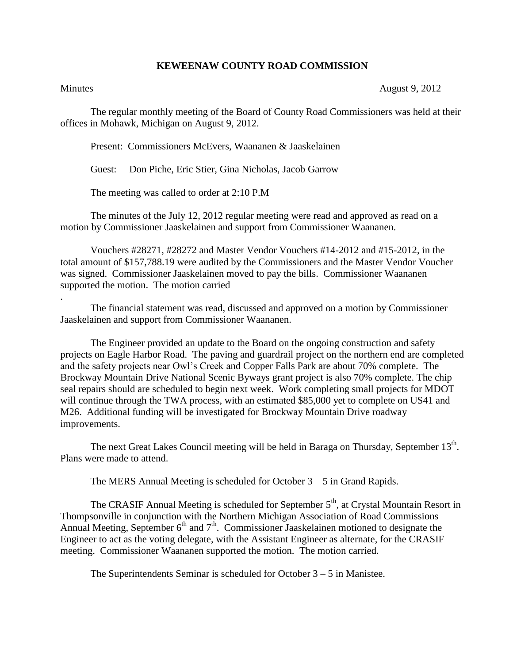## **KEWEENAW COUNTY ROAD COMMISSION**

.

Minutes August 9, 2012

The regular monthly meeting of the Board of County Road Commissioners was held at their offices in Mohawk, Michigan on August 9, 2012.

Present: Commissioners McEvers, Waananen & Jaaskelainen

Guest: Don Piche, Eric Stier, Gina Nicholas, Jacob Garrow

The meeting was called to order at 2:10 P.M

The minutes of the July 12, 2012 regular meeting were read and approved as read on a motion by Commissioner Jaaskelainen and support from Commissioner Waananen.

Vouchers #28271, #28272 and Master Vendor Vouchers #14-2012 and #15-2012, in the total amount of \$157,788.19 were audited by the Commissioners and the Master Vendor Voucher was signed. Commissioner Jaaskelainen moved to pay the bills. Commissioner Waananen supported the motion. The motion carried

The financial statement was read, discussed and approved on a motion by Commissioner Jaaskelainen and support from Commissioner Waananen.

The Engineer provided an update to the Board on the ongoing construction and safety projects on Eagle Harbor Road. The paving and guardrail project on the northern end are completed and the safety projects near Owl's Creek and Copper Falls Park are about 70% complete. The Brockway Mountain Drive National Scenic Byways grant project is also 70% complete. The chip seal repairs should are scheduled to begin next week. Work completing small projects for MDOT will continue through the TWA process, with an estimated \$85,000 yet to complete on US41 and M26. Additional funding will be investigated for Brockway Mountain Drive roadway improvements.

The next Great Lakes Council meeting will be held in Baraga on Thursday, September  $13<sup>th</sup>$ . Plans were made to attend.

The MERS Annual Meeting is scheduled for October 3 – 5 in Grand Rapids.

The CRASIF Annual Meeting is scheduled for September  $5<sup>th</sup>$ , at Crystal Mountain Resort in Thompsonville in conjunction with the Northern Michigan Association of Road Commissions Annual Meeting, September  $6<sup>th</sup>$  and  $7<sup>th</sup>$ . Commissioner Jaaskelainen motioned to designate the Engineer to act as the voting delegate, with the Assistant Engineer as alternate, for the CRASIF meeting. Commissioner Waananen supported the motion. The motion carried.

The Superintendents Seminar is scheduled for October  $3 - 5$  in Manistee.